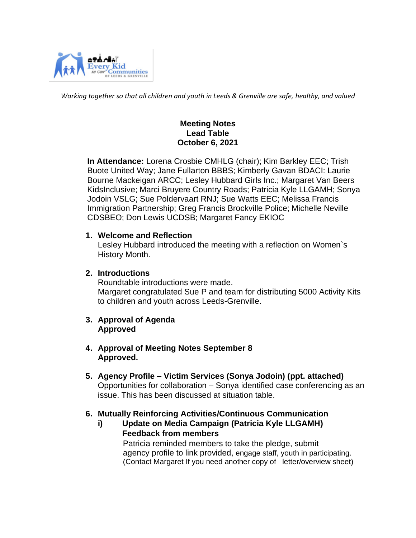

*Working together so that all children and youth in Leeds & Grenville are safe, healthy, and valued*

## **Meeting Notes Lead Table October 6, 2021**

 **In Attendance:** Lorena Crosbie CMHLG (chair); Kim Barkley EEC; Trish Buote United Way; Jane Fullarton BBBS; Kimberly Gavan BDACI: Laurie Bourne Mackeigan ARCC; Lesley Hubbard Girls Inc.; Margaret Van Beers KidsInclusive; Marci Bruyere Country Roads; Patricia Kyle LLGAMH; Sonya Jodoin VSLG; Sue Poldervaart RNJ; Sue Watts EEC; Melissa Francis Immigration Partnership; Greg Francis Brockville Police; Michelle Neville CDSBEO; Don Lewis UCDSB; Margaret Fancy EKIOC

#### **1. Welcome and Reflection**

Lesley Hubbard introduced the meeting with a reflection on Women`s History Month.

#### **2. Introductions**

Roundtable introductions were made. Margaret congratulated Sue P and team for distributing 5000 Activity Kits to children and youth across Leeds-Grenville.

#### **3. Approval of Agenda Approved**

- **4. Approval of Meeting Notes September 8 Approved.**
- **5. Agency Profile – Victim Services (Sonya Jodoin) (ppt. attached)** Opportunities for collaboration – Sonya identified case conferencing as an issue. This has been discussed at situation table.

## **6. Mutually Reinforcing Activities/Continuous Communication**

**i) Update on Media Campaign (Patricia Kyle LLGAMH) Feedback from members**  Patricia reminded members to take the pledge, submit agency profile to link provided, engage staff, youth in participating. (Contact Margaret If you need another copy of letter/overview sheet)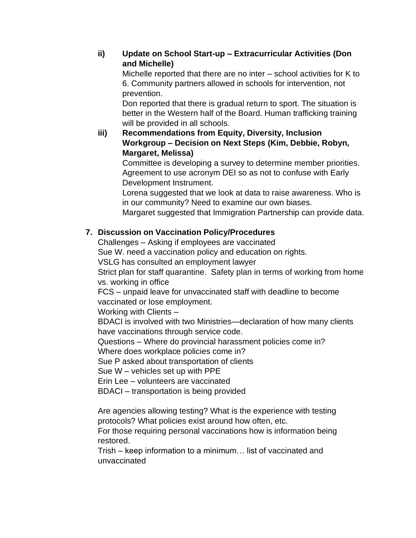## **ii) Update on School Start-up – Extracurricular Activities (Don and Michelle)**

Michelle reported that there are no inter – school activities for K to 6. Community partners allowed in schools for intervention, not prevention.

Don reported that there is gradual return to sport. The situation is better in the Western half of the Board. Human trafficking training will be provided in all schools.

**iii) Recommendations from Equity, Diversity, Inclusion Workgroup – Decision on Next Steps (Kim, Debbie, Robyn, Margaret, Melissa)**

Committee is developing a survey to determine member priorities. Agreement to use acronym DEI so as not to confuse with Early Development Instrument.

Lorena suggested that we look at data to raise awareness. Who is in our community? Need to examine our own biases.

Margaret suggested that Immigration Partnership can provide data.

# **7. Discussion on Vaccination Policy/Procedures**

Challenges – Asking if employees are vaccinated

Sue W. need a vaccination policy and education on rights.

VSLG has consulted an employment lawyer

Strict plan for staff quarantine. Safety plan in terms of working from home vs. working in office

FCS – unpaid leave for unvaccinated staff with deadline to become vaccinated or lose employment.

Working with Clients –

BDACI is involved with two Ministries—declaration of how many clients have vaccinations through service code.

Questions – Where do provincial harassment policies come in?

Where does workplace policies come in?

Sue P asked about transportation of clients

Sue W – vehicles set up with PPE

Erin Lee – volunteers are vaccinated

BDACI – transportation is being provided

Are agencies allowing testing? What is the experience with testing protocols? What policies exist around how often, etc.

For those requiring personal vaccinations how is information being restored.

Trish – keep information to a minimum… list of vaccinated and unvaccinated